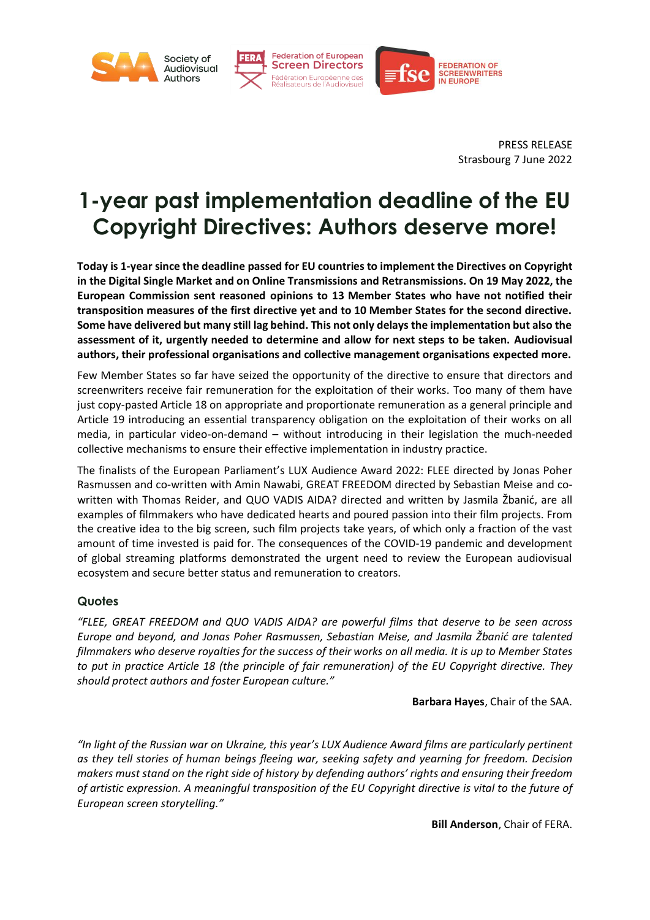

PRESS RELEASE Strasbourg 7 June 2022

## **1-year past implementation deadline of the EU Copyright Directives: Authors deserve more!**

**Today is 1-year since the deadline passed for EU countries to implement the Directives on Copyright in the Digital Single Market and on Online Transmissions and Retransmissions. On 19 May 2022, the European Commission sent reasoned opinions to 13 Member States who have not notified their transposition measures of the first directive yet and to 10 Member States for the second directive. Some have delivered but many still lag behind. This not only delays the implementation but also the assessment of it, urgently needed to determine and allow for next steps to be taken. Audiovisual authors, their professional organisations and collective management organisations expected more.** 

Few Member States so far have seized the opportunity of the directive to ensure that directors and screenwriters receive fair remuneration for the exploitation of their works. Too many of them have just copy-pasted Article 18 on appropriate and proportionate remuneration as a general principle and Article 19 introducing an essential transparency obligation on the exploitation of their works on all media, in particular video-on-demand – without introducing in their legislation the much-needed collective mechanisms to ensure their effective implementation in industry practice.

The finalists of the European Parliament's LUX Audience Award 2022: FLEE directed by Jonas Poher Rasmussen and co-written with Amin Nawabi, GREAT FREEDOM directed by Sebastian Meise and cowritten with Thomas Reider, and QUO VADIS AIDA? directed and written by Jasmila Žbanić, are all examples of filmmakers who have dedicated hearts and poured passion into their film projects. From the creative idea to the big screen, such film projects take years, of which only a fraction of the vast amount of time invested is paid for. The consequences of the COVID-19 pandemic and development of global streaming platforms demonstrated the urgent need to review the European audiovisual ecosystem and secure better status and remuneration to creators.

## **Quotes**

*"FLEE, GREAT FREEDOM and QUO VADIS AIDA? are powerful films that deserve to be seen across Europe and beyond, and Jonas Poher Rasmussen, Sebastian Meise, and Jasmila Žbanić are talented filmmakers who deserve royalties for the success of their works on all media. It is up to Member States to put in practice Article 18 (the principle of fair remuneration) of the EU Copyright directive. They should protect authors and foster European culture."*

**Barbara Hayes**, Chair of the SAA.

*"In light of the Russian war on Ukraine, this year's LUX Audience Award films are particularly pertinent as they tell stories of human beings fleeing war, seeking safety and yearning for freedom. Decision makers must stand on the right side of history by defending authors' rights and ensuring their freedom of artistic expression. A meaningful transposition of the EU Copyright directive is vital to the future of European screen storytelling."*

**Bill Anderson**, Chair of FERA.